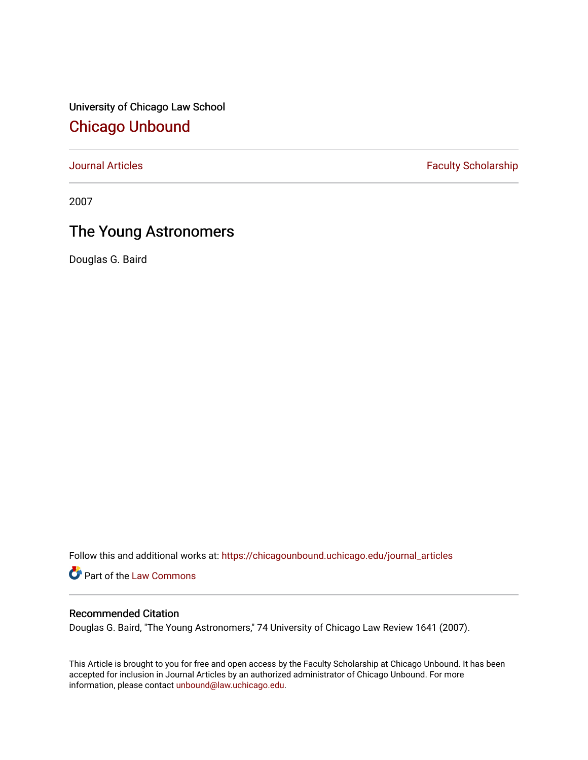University of Chicago Law School [Chicago Unbound](https://chicagounbound.uchicago.edu/)

[Journal Articles](https://chicagounbound.uchicago.edu/journal_articles) **Faculty Scholarship Faculty Scholarship** 

2007

# The Young Astronomers

Douglas G. Baird

Follow this and additional works at: [https://chicagounbound.uchicago.edu/journal\\_articles](https://chicagounbound.uchicago.edu/journal_articles?utm_source=chicagounbound.uchicago.edu%2Fjournal_articles%2F1014&utm_medium=PDF&utm_campaign=PDFCoverPages) 

Part of the [Law Commons](http://network.bepress.com/hgg/discipline/578?utm_source=chicagounbound.uchicago.edu%2Fjournal_articles%2F1014&utm_medium=PDF&utm_campaign=PDFCoverPages)

## Recommended Citation

Douglas G. Baird, "The Young Astronomers," 74 University of Chicago Law Review 1641 (2007).

This Article is brought to you for free and open access by the Faculty Scholarship at Chicago Unbound. It has been accepted for inclusion in Journal Articles by an authorized administrator of Chicago Unbound. For more information, please contact [unbound@law.uchicago.edu](mailto:unbound@law.uchicago.edu).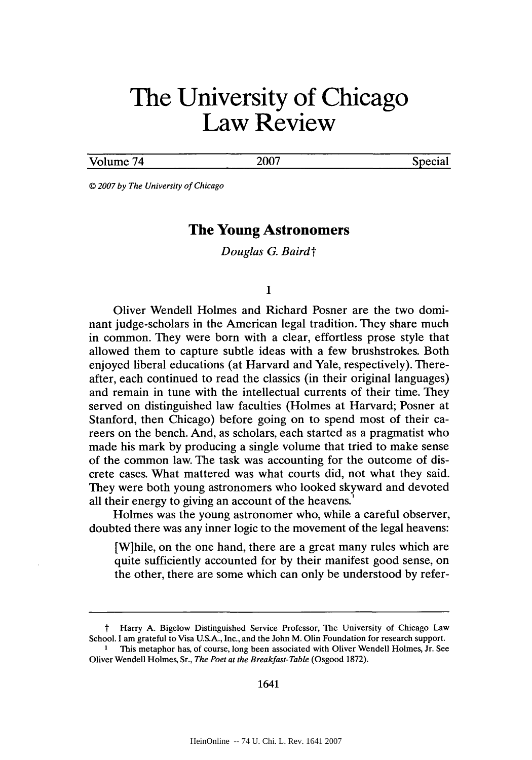# **The University of Chicago Law Review**

Volume 74 **2007 Special** 

@ *2007 by The University of Chicago*

## **The Young Astronomers**

*Douglas G. Bairdt*

#### **I**

Oliver Wendell Holmes and Richard Posner are the two dominant judge-scholars in the American legal tradition. They share much in common. They were born with a clear, effortless prose style that allowed them to capture subtle ideas with a few brushstrokes. Both enjoyed liberal educations (at Harvard and Yale, respectively). Thereafter, each continued to read the classics (in their original languages) and remain in tune with the intellectual currents of their time. They served on distinguished law faculties (Holmes at Harvard; Posner at Stanford, then Chicago) before going on to spend most of their careers on the bench. And, as scholars, each started as a pragmatist who made his mark **by** producing a single volume that tried to make sense of the common law. The task was accounting for the outcome of discrete cases. What mattered was what courts did, not what they said. They were both young astronomers who looked skyward and devoted all their energy to giving an account of the heavens.

Holmes was the young astronomer who, while a careful observer, doubted there was any inner logic to the movement of the legal heavens:

[W]hile, on the one hand, there are a great many rules which are quite sufficiently accounted for **by** their manifest good sense, on the other, there are some which can only be understood **by** refer-

t Harry **A.** Bigelow Distinguished Service Professor, The University of Chicago Law School. **I** am grateful to Visa **U.S.A.,** Inc., and the John M. Olin Foundation for research support.

**<sup>1</sup>** This metaphor has, of course, long been associated with Oliver Wendell Holmes, Jr. See Oliver Wendell Holmes, Sr., *The Poet at the Breakfast-Table* (Osgood **1872).**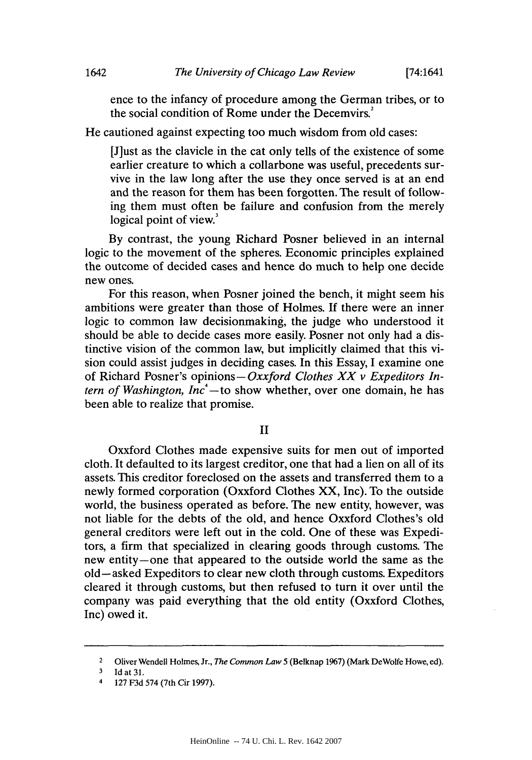ence to the infancy of procedure among the German tribes, or to the social condition of Rome under the Decemvirs.'

He cautioned against expecting too much wisdom from old cases:

[J]ust as the clavicle in the cat only tells of the existence of some earlier creature to which a collarbone was useful, precedents survive in the law long after the use they once served is at an end and the reason for them has been forgotten. The result of following them must often be failure and confusion from the merely logical point of view.<sup>3</sup>

**By** contrast, the young Richard Posner believed in an internal logic to the movement of the spheres. Economic principles explained the outcome of decided cases and hence do much to help one decide new ones.

For this reason, when Posner joined the bench, it might seem his ambitions were greater than those of Holmes. **If** there were an inner logic to common law decisionmaking, the judge who understood it should be able to decide cases more easily. Posner not only had a distinctive vision of the common law, but implicitly claimed that this vision could assist judges in deciding cases. In this Essay, **I** examine one of Richard Posner's opinions **-** *Oxxford Clothes XX v Expeditors Intern of Washington, Inc*<sup>4</sup> — to show whether, over one domain, he has been able to realize that promise.

II

Oxxford Clothes made expensive suits for men out of imported cloth. It defaulted to its largest creditor, one that had a lien on all of its assets. This creditor foreclosed on the assets and transferred them to a newly formed corporation (Oxxford Clothes XX, Inc). To the outside world, the business operated as before. The new entity, however, was not liable for the debts of the old, and hence Oxxford Clothes's old general creditors were left out in the cold. One of these was Expeditors, a firm that specialized in clearing goods through customs. The new entity-one that appeared to the outside world the same as the old-asked Expeditors to clear new cloth through customs. Expeditors cleared it through customs, but then refused to turn it over until the company was paid everything that the old entity (Oxxford Clothes, Inc) owed it.

<sup>2</sup>**Oliver Wendell Holmes, Jr.,** *The Common Law* **5 (Belknap 1967) (Mark DeWolfe Howe, ed).**

**<sup>3</sup> Id at 31.**

<sup>4</sup> **127 F3d 574 (7th Cir 1997).**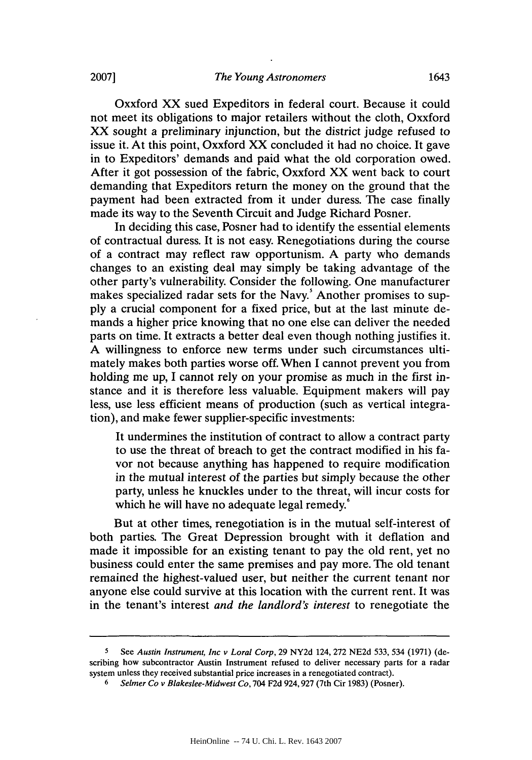Oxxford XX sued Expeditors in federal court. Because it could not meet its obligations to major retailers without the cloth, Oxxford *XX* sought a preliminary injunction, but the district judge refused to issue it. At this point, Oxxford XX concluded it had no choice. It gave in to Expeditors' demands and paid what the old corporation owed. After it got possession of the fabric, Oxxford XX went back to court demanding that Expeditors return the money on the ground that the payment had been extracted from it under duress. The case finally made its way to the Seventh Circuit and Judge Richard Posner.

In deciding this case, Posner had to identify the essential elements of contractual duress. It is not easy. Renegotiations during the course of a contract may reflect raw opportunism. **A** party who demands changes to an existing deal may simply be taking advantage of the other party's vulnerability. Consider the following. One manufacturer makes specialized radar sets for the Navy.' Another promises to **supply** a crucial component for a fixed price, but at the last minute demands a higher price knowing that no one else can deliver the needed parts on time. It extracts a better deal even though nothing justifies it. **A** willingness to enforce new terms under such circumstances ultimately makes both parties worse off. When **I** cannot prevent you from holding me up, I cannot rely on your promise as much in the first instance and it is therefore less valuable. Equipment makers will pay less, use less efficient means of production (such as vertical integration), and make fewer supplier-specific investments:

It undermines the institution of contract to allow a contract party to use the threat of breach to get the contract modified in his favor not because anything has happened to require modification in the mutual interest of the parties but simply because the other party, unless he knuckles under to the threat, will incur costs for which he will have no adequate legal remedy.<sup>6</sup>

But at other times, renegotiation is in the mutual self-interest of both parties. The Great Depression brought with it deflation and made it impossible for an existing tenant to pay the old rent, yet no business could enter the same premises and pay more. The old tenant remained the highest-valued user, but neither the current tenant nor anyone else could survive at this location with the current rent. It was in the tenant's interest *and the landlord's interest* to renegotiate the

**<sup>5</sup>** See *Austin Instrument, Inc v Loral Corp,* **29 NY2d** 124, **272 NE2d 533,** 534 **(1971)** (describing how subcontractor Austin Instrument refused to deliver necessary parts for a radar system unless they received substantial price increases in a renegotiated contract). **<sup>6</sup>***Selmer Co v Blakeslee-Midwest Co,* 704 **F2d 924,927** (7th Cir **1983)** (Posner).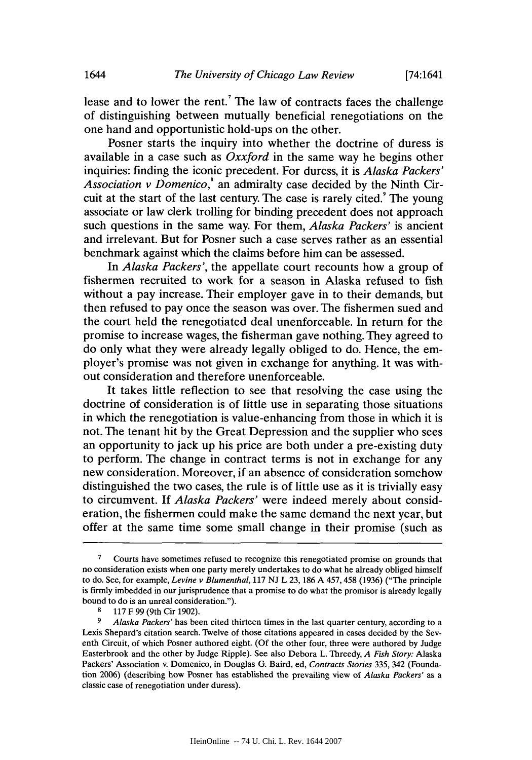lease and to lower the rent.<sup>7</sup> The law of contracts faces the challenge of distinguishing between mutually beneficial renegotiations on the one hand and opportunistic hold-ups on the other.

Posner starts the inquiry into whether the doctrine of duress is available in a case such as *Oxxford* in the same way he begins other inquiries: finding the iconic precedent. For duress, it is *Alaska Packers' Association v Domenico,'* an admiralty case decided **by** the Ninth Circuit at the start of the last century. The case is rarely cited.' The young associate or law clerk trolling for binding precedent does not approach such questions in the same way. For them, *Alaska Packers'* is ancient and irrelevant. But for Posner such a case serves rather as an essential benchmark against which the claims before him can be assessed.

*In Alaska Packers',* the appellate court recounts how a group of fishermen recruited to work for a season in Alaska refused to fish without a pay increase. Their employer gave in to their demands, but then refused to pay once the season was over. The fishermen sued and the court held the renegotiated deal unenforceable. In return for the promise to increase wages, the fisherman gave nothing. They agreed to do only what they were already legally obliged to do. Hence, the employer's promise was not given in exchange for anything. It was without consideration and therefore unenforceable.

It takes little reflection to see that resolving the case using the doctrine of consideration is of little use in separating those situations in which the renegotiation is value-enhancing from those in which it is not. The tenant hit **by** the Great Depression and the supplier who sees an opportunity to jack up his price are both under a pre-existing duty to perform. The change in contract terms is not in exchange for any new consideration. Moreover, if an absence of consideration somehow distinguished the two cases, the rule is of little use as it is trivially easy to circumvent. If *Alaska Packers'* were indeed merely about consideration, the fishermen could make the same demand the next year, but offer at the same time some small change in their promise (such as

**<sup>7</sup>** Courts have sometimes refused to recognize this renegotiated promise on grounds that no consideration exists when one party merely undertakes to do what he already obliged himself to do. See, for example, *Levine v Blumenthal,* **117 NJ** L **23, 186 A** *457, 458* **(1936)** ("The principle is firmly imbedded in our jurisprudence that a promise to do what the promisor is already legally bound to do is an unreal consideration.").

**<sup>8</sup>117** F **99** (9th Cir **1902).**

**<sup>9</sup>** *Alaska* **Packers'** has been cited thirteen times in the last quarter century, according to a Lexis Shepard's citation search. Twelve of those citations appeared in cases decided **by** the Seventh Circuit, of which Posner authored eight. **(Of** the other four, three were authored **by** Judge Easterbrook and the other **by** Judge Ripple). See also Debora L. Threedy, *A Fish Story:* Alaska Packers' Association v. Domenico, in Douglas **G.** Baird, ed, *Contracts Stories* **335,** 342 (Foundation **2006)** (describing how Posner has established the prevailing view **of** *Alaska Packers'* as a classic case of renegotiation under duress).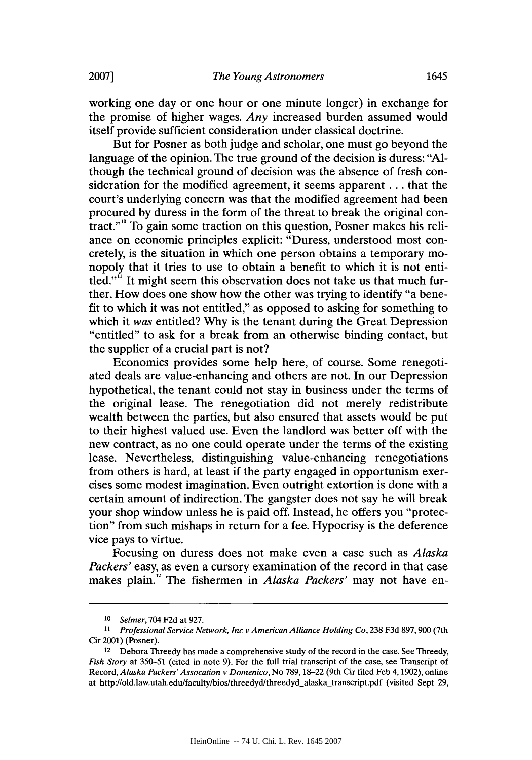working one day or one hour or one minute longer) in exchange for the promise of higher wages. *Any* increased burden assumed would itself provide sufficient consideration under classical doctrine.

But for Posner as both judge and scholar, one must go beyond the language of the opinion. The true ground of the decision is duress: **"Al**though the technical ground of decision was the absence of fresh consideration for the modified agreement, it seems apparent **. ..** that the court's underlying concern was that the modified agreement had been procured **by** duress in the form of the threat to break the original contract."<sup>10</sup> To gain some traction on this question, Posner makes his reliance on economic principles explicit: "Duress, understood most concretely, is the situation in which one person obtains a temporary monopoly that it tries to use to obtain a benefit to which it is not entitled."<sup>"</sup> It might seem this observation does not take us that much further. How does one show how the other was trying to identify "a benefit to which it was not entitled," as opposed to asking for something to which it *was* entitled? **Why** is the tenant during the Great Depression "entitled" to ask for a break from an otherwise binding contact, but the supplier of a crucial part is not?

Economics provides some help here, of course. Some renegotiated deals are value-enhancing and others are not. In our Depression hypothetical, the tenant could not stay in business under the terms of the original lease. The renegotiation did not merely redistribute wealth between the parties, but also ensured that assets would be put to their highest valued use. Even the landlord was better off with the new contract, as no one could operate under the terms of the existing lease. Nevertheless, distinguishing value-enhancing renegotiations from others is hard, at least if the party engaged in opportunism exercises some modest imagination. Even outright extortion is done with a certain amount of indirection. The gangster does not say he will break your shop window unless he is paid off. Instead, he offers you "protection" from such mishaps in return for a fee. Hypocrisy is the deference vice pays to virtue.

Focusing on duress does not make even a case such as *Alaska Packers'* easy, as even a cursory examination of the record in that case makes plain.<sup>12</sup> The fishermen in *Alaska Packers'* may not have en-

**<sup>10</sup>** *Selmer,* 704 **F2d** at **927.**

**<sup>11</sup>** *Professional Service Network, Inc v American Alliance Holding Co,* **238 F3d 897,900** (7th Cir 2001) (Posner).

<sup>&</sup>lt;sup>12</sup> Debora Threedy has made a comprehensive study of the record in the case. See Threedy, *Fish Story* at **350-51** (cited in note **9).** For the full trial transcript of the case, see Transcript of Record, *Alaska Packers' Assocation v Domenico,* No **789, 18-22** (9th Cir filed Feb 4, 1902), online at http://old.law.utah.edulfaculty/bios/threedyd/threedyd-alaska-transcript.pdf (visited Sept **29,**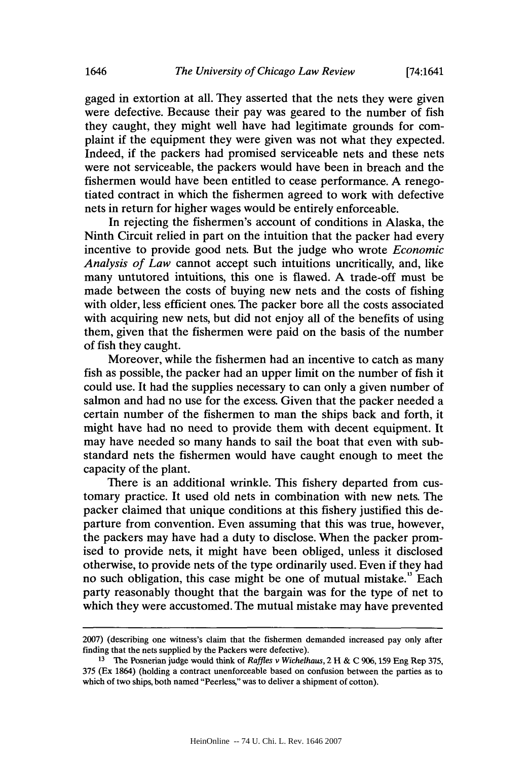gaged in extortion at all. They asserted that the nets they were given were defective. Because their pay was geared to the number of fish they caught, they might well have had legitimate grounds for complaint if the equipment they were given was not what they expected. Indeed, if the packers had promised serviceable nets and these nets were not serviceable, the packers would have been in breach and the fishermen would have been entitled to cease performance. **A** renegotiated contract in which the fishermen agreed to work with defective nets in return for higher wages would be entirely enforceable.

In rejecting the fishermen's account of conditions in Alaska, the Ninth Circuit relied in part on the intuition that the packer had every incentive to provide good nets. But the judge who wrote *Economic Analysis of Law* cannot accept such intuitions uncritically, and, like many untutored intuitions, this one is flawed. **A** trade-off must be made between the costs of buying new nets and the costs of fishing with older, less efficient ones. The packer bore all the costs associated with acquiring new nets, but did not enjoy all of the benefits of using them, given that the fishermen were paid on the basis of the number of fish they caught.

Moreover, while the fishermen had an incentive to catch as many fish as possible, the packer had an upper limit on the number of fish it could use. It had the supplies necessary to can only a given number of salmon and had no use for the excess. Given that the packer needed a certain number of the fishermen to man the ships back and forth, it might have had no need to provide them with decent equipment. It may have needed so many hands to sail the boat that even with substandard nets the fishermen would have caught enough to meet the capacity of the plant.

There is an additional wrinkle. This fishery departed from customary practice. It used old nets in combination with new nets. The packer claimed that unique conditions at this fishery justified this departure from convention. Even assuming that this was true, however, the packers may have had a duty to disclose. When the packer promised to provide nets, it might have been obliged, unless it disclosed otherwise, to provide nets of the type ordinarily used. Even if they had no such obligation, this case might be one of mutual mistake." Each party reasonably thought that the bargain was for the type of net to which they were accustomed. The mutual mistake may have prevented

**<sup>2007)</sup>** (describing one witness's claim that the fishermen demanded increased pay only after finding that the nets supplied **by** the Packers were defective).

**<sup>13</sup>**The Posnerian judge would think of *Raffles v Wichelhaus,* 2 H **& C 906,159** Eng Rep **375,** *375* (Ex 1864) (holding a contract unenforceable based on confusion between the parties as to which of two ships, both named "Peerless," was to deliver a shipment of cotton).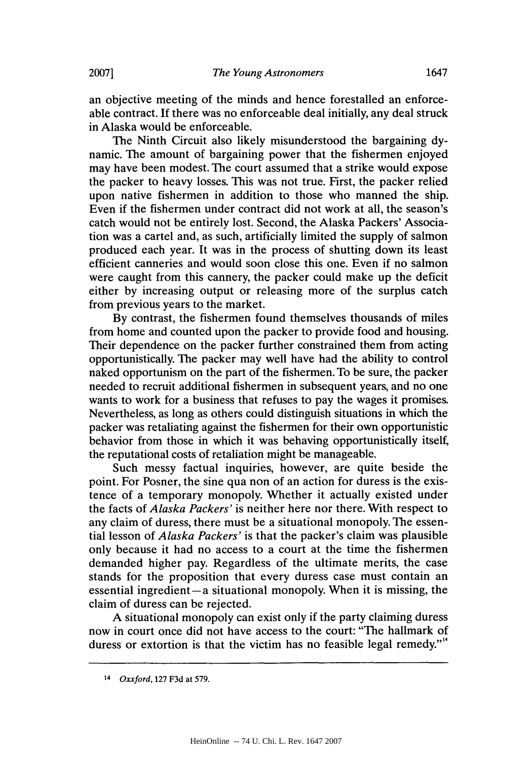an objective meeting of the minds and hence forestalled an enforceable contract. **If** there was no enforceable deal initially, any deal struck in Alaska would be enforceable.

The Ninth Circuit also likely misunderstood the bargaining **dy**namic. The amount of bargaining power that the fishermen enjoyed may have been modest. The court assumed that a strike would expose the packer to heavy losses. This was not true. First, the packer relied upon native fishermen in addition to those who manned the ship. Even if the fishermen under contract did not work at all, the season's catch would not be entirely lost. Second, the Alaska Packers' Association was a cartel and, as such, artificially limited the supply of salmon produced each year. It was in the process of shutting down its least efficient canneries and would soon close this one. Even if no salmon were caught from this cannery, the packer could make up the deficit either **by** increasing output or releasing more of the surplus catch from previous years to the market.

**By** contrast, the fishermen found themselves thousands of miles from home and counted upon the packer to provide food and housing. Their dependence on the packer further constrained them from acting opportunistically. The packer may well have had the ability to control naked opportunism on the part of the fishermen. To be sure, the packer needed to recruit additional fishermen in subsequent years, and no one wants to work for a business that refuses to pay the wages it promises. Nevertheless, as long as others could distinguish situations in which the packer was retaliating against the fishermen for their own opportunistic behavior from those in which it was behaving opportunistically itself, the reputational costs of retaliation might be manageable.

Such messy factual inquiries, however, are quite beside the point. For Posner, the sine qua non of an action for duress is the existence of a temporary monopoly. Whether it actually existed under the facts of *Alaska Packers' is* neither here nor there. With respect to any claim of duress, there must be a situational monopoly. The essential lesson of *Alaska Packers'* is that the packer's claim was plausible only because it had no access to a court at the time the fishermen demanded higher pay. Regardless of the ultimate merits, the case stands for the proposition that every duress case must contain an essential ingredient $-a$  situational monopoly. When it is missing, the claim of duress can be rejected.

**A** situational monopoly can exist only if the party claiming duress now in court once did not have access to the court: "The hallmark of duress or extortion is that the victim has no feasible legal remedy.""

**<sup>14</sup>** Oxxford, **127 F3d** at **579.**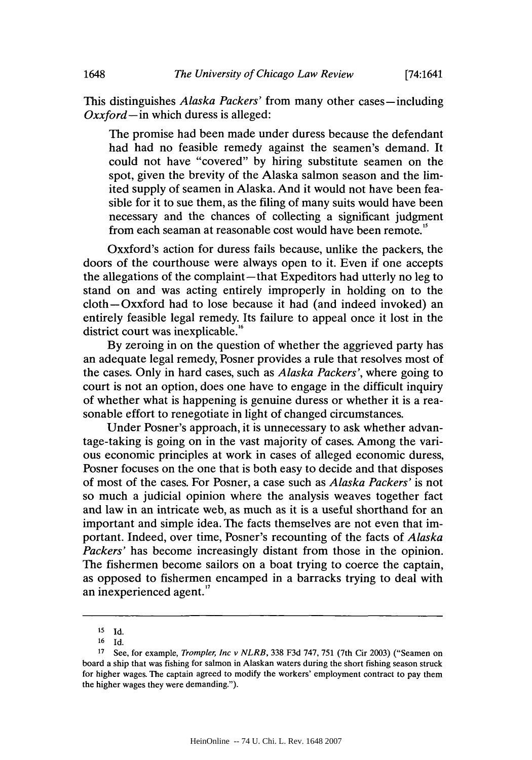This distinguishes *Alaska Packers'* from many other cases—including *Oxxford-in* which duress is alleged:

The promise had been made under duress because the defendant had had no feasible remedy against the seamen's demand. It could not have "covered" **by** hiring substitute seamen on the spot, given the brevity of the Alaska salmon season and the limited supply of seamen in Alaska. And it would not have been feasible for it to sue them, as the filing of many suits would have been necessary and the chances of collecting a significant judgment from each seaman at reasonable cost would have been remote.<sup>15</sup>

Oxxford's action for duress fails because, unlike the packers, the doors of the courthouse were always open to it. Even if one accepts the allegations of the complaint—that Expeditors had utterly no leg to stand on and was acting entirely improperly in holding on to the cloth-Oxxford had to lose because it had (and indeed invoked) an entirely feasible legal remedy. Its failure to appeal once it lost in the district court was inexplicable."

**By** zeroing in on the question of whether the aggrieved party has an adequate legal remedy, Posner provides a rule that resolves most of the cases. Only in hard cases, such as *Alaska Packers',* where going to court is not an option, does one have to engage in the difficult inquiry of whether what is happening is genuine duress or whether it is a reasonable effort to renegotiate in light of changed circumstances.

Under Posner's approach, it is unnecessary to ask whether advantage-taking is going on in the vast majority of cases. Among the various economic principles at work in cases of alleged economic duress, Posner focuses on the one that is both easy to decide and that disposes of most of the cases. For Posner, a case such as *Alaska Packers' is not* so much a judicial opinion where the analysis weaves together fact and law in an intricate web, as much as it is a useful shorthand for an important and simple idea. The facts themselves are not even that important. Indeed, over time, Posner's recounting of the facts of *Alaska Packers'* has become increasingly distant from those in the opinion. The fishermen become sailors on a boat trying to coerce the captain, as opposed to fishermen encamped in a barracks trying to deal with an inexperienced agent."

**Is Id.**

**<sup>16</sup> Id.**

**<sup>17</sup>**See, for example, *Trompler, Inc v NLRB,* **338 F3d 747, 751** (7th Cir **2003)** ("Seamen on board a ship that was fishing for salmon in Alaskan waters during the short fishing season struck for higher wages. The captain agreed to modify the workers' employment contract to pay them the higher wages they were demanding.").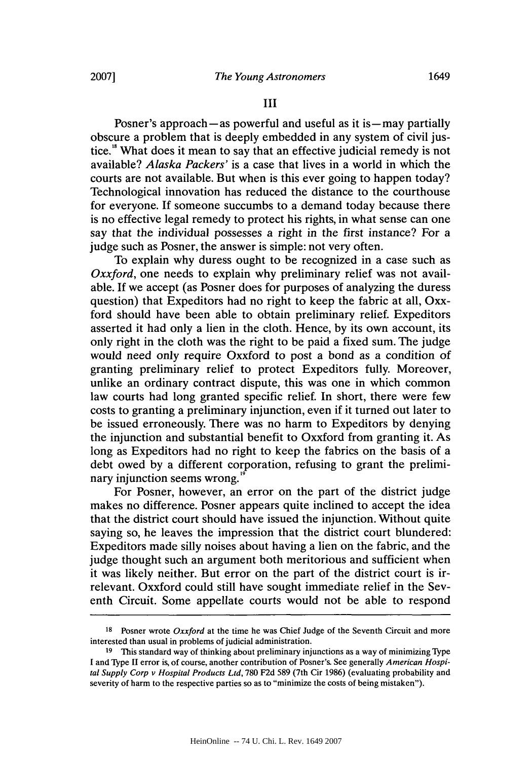Posner's approach—as powerful and useful as it is—may partially obscure a problem that is deeply embedded in any system of civil justice."' What does it mean to say that an effective judicial remedy is not available? *Alaska Packers'* is a case that lives in a world in which the courts are not available. But when is this ever going to happen today? Technological innovation has reduced the distance to the courthouse for everyone. If someone succumbs to a demand today because there is no effective legal remedy to protect his rights, in what sense can one say that the individual possesses a right in the first instance? For a judge such as Posner, the answer is simple: not very often.

To explain why duress ought to be recognized in a case such as *Oxxford,* one needs to explain why preliminary relief was not available. **If** we accept (as Posner does for purposes of analyzing the duress question) that Expeditors had no right to keep the fabric at all, **Oxx**ford should have been able to obtain preliminary relief. Expeditors asserted it had only a lien in the cloth. Hence, **by** its own account, its only right in the cloth was the right to be paid a fixed sum. The judge would need only require Oxxford to post a bond as a condition of granting preliminary relief to protect Expeditors fully. Moreover, unlike an ordinary contract dispute, this was one in which common law courts had long granted specific relief. In short, there were few costs to granting a preliminary injunction, even if it turned out later to be issued erroneously. There was no harm to Expeditors **by** denying the injunction and substantial benefit to Oxxford from granting it. As long as Expeditors had no right to keep the fabrics on the basis of a debt owed **by** a different corporation, refusing to grant the prelimi- **<sup>19</sup>** nary injunction seems wrong.

For Posner, however, an error on the part of the district judge makes no difference. Posner appears quite inclined to accept the idea that the district court should have issued the injunction. Without quite saying so, he leaves the impression that the district court blundered: Expeditors made silly noises about having a lien on the fabric, and the judge thought such an argument both meritorious and sufficient when it was likely neither. But error on the part of the district court is irrelevant. Oxxford could still have sought immediate relief in the Seventh Circuit. Some appellate courts would not be able to respond

**<sup>18</sup>**Posner wrote *Oxxford at* the time he was Chief Judge of the Seventh Circuit and more interested than usual in problems of judicial administration.

**<sup>19</sup>**This standard way of thinking about preliminary injunctions as a way of minimizing Type **I** and Type II error is, of course, another contribution of Posner's. See generally *American Hospital Supply Corp v Hospital Products Ltd,* **780 F2d 589** (7th Cir **1986)** (evaluating probability and severity of harm to the respective parties so as to "minimize the costs of being mistaken").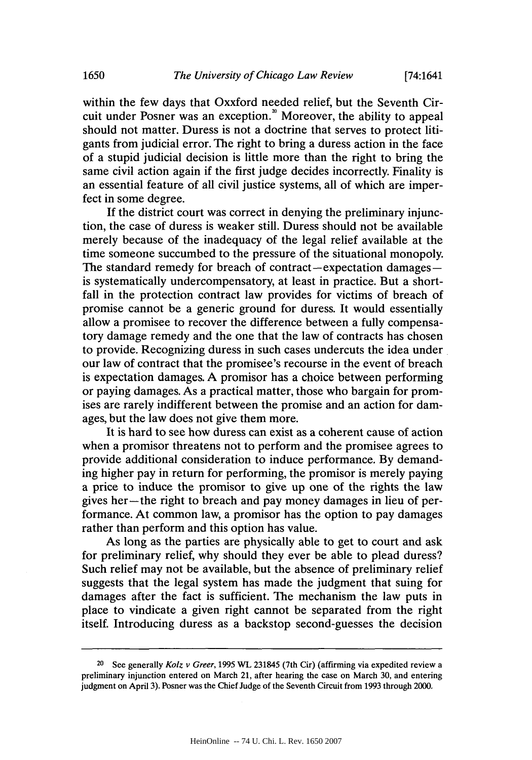within the *few* days that Oxxford needed relief, but the Seventh Circuit under Posner was an exception." Moreover, the ability to appeal should not matter. Duress is not a doctrine that serves to protect litigants from judicial error. The right to bring a duress action in the face of a stupid judicial decision is little more than the right to bring the same civil action again if the first judge decides incorrectly. Finality is an essential feature of all civil justice systems, all of which are imperfect in some degree.

**If** the district court was correct in denying the preliminary injunction, the case of duress is weaker still. Duress should not be available merely because of the inadequacy of the legal relief available at the time someone succumbed to the pressure of the situational monopoly. The standard remedy for breach of contract-expectation damagesis systematically undercompensatory, at least in practice. But a shortfall in the protection contract law provides for victims of breach of promise cannot be a generic ground for duress. It would essentially allow a promisee to recover the difference between a fully compensatory damage remedy and the one that the law of contracts has chosen to provide. Recognizing duress in such cases undercuts the idea under our law of contract that the promisee's recourse in the event of breach is expectation damages. **A** promisor has a choice between performing or paying damages. As a practical matter, those who bargain for promises are rarely indifferent between the promise and an action for damages, but the law does not give them more.

It is hard to see how duress can exist as a coherent cause of action when a promisor threatens not to perform and the promisee agrees to provide additional consideration to induce performance. **By** demanding higher pay in return for performing, the promisor is merely paying a price to induce the promisor to give up one of the rights the law gives her-the right to breach and pay money damages in lieu of performance. At common law, a promisor has the option to pay damages rather than perform and this option has value.

As long as the parties are physically able to get to court and ask for preliminary relief, why should they ever be able to plead duress? Such relief may not be available, but the absence of preliminary relief suggests that the legal system has made the judgment that suing for damages after the fact is sufficient. The mechanism the law puts in place to vindicate a given right cannot be separated from the right itself. Introducing duress as a backstop second-guesses the decision

**<sup>20</sup>**See generally *Kolz v Greer,* **1995** WL **231845** (7th Cir) (affirming via expedited review a preliminary injunction entered on March 21, after hearing the case on March **30,** and entering judgment on April **3).** Posner was the Chief Judge of the Seventh Circuit from **1993** through 2000.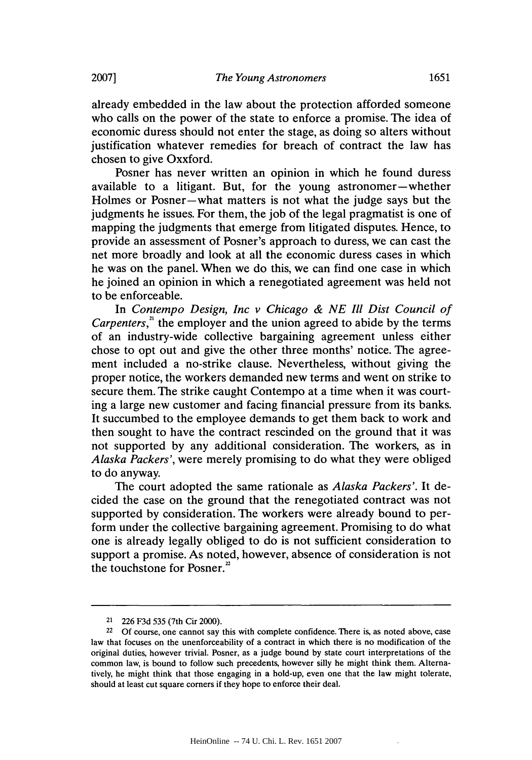already embedded in the law about the protection afforded someone who calls on the power of the state to enforce a promise. The idea of economic duress should not enter the stage, as doing so alters without justification whatever remedies for breach of contract the law has chosen to give Oxxford.

Posner has never written an opinion in which he found duress available to a litigant. But, for the young astronomer-whether Holmes or Posner-what matters is not what the judge says but the judgments he issues. For them, the **job** of the legal pragmatist is one of mapping the judgments that emerge from litigated disputes. Hence, to provide an assessment of Posner's approach to duress, we can cast the net more broadly and look at all the economic duress cases in which he was on the panel. When we do this, we can find one case in which he joined an opinion in which a renegotiated agreement was held not to be enforceable.

*In Contempo Design, Inc v Chicago & NE Ill Dist Council of Carpenters*,<sup>2</sup> the employer and the union agreed to abide by the terms of an industry-wide collective bargaining agreement unless either chose to opt out and give the other three months' notice. The agreement included a no-strike clause. Nevertheless, without giving the proper notice, the workers demanded new terms and went on strike to secure them. The strike caught Contempo at a time when it was courting a large new customer and facing financial pressure from its banks. It succumbed to the employee demands to get them back to work and then sought to have the contract rescinded on the ground that it was not supported **by** any additional consideration. The workers, as in *Alaska Packers',* were merely promising to do what they were obliged to do anyway.

The court adopted the same rationale as *Alaska Packers'.* It decided the case on the ground that the renegotiated contract was not supported **by** consideration. The workers were already bound to perform under the collective bargaining agreement. Promising to do what one is already legally obliged to do is not sufficient consideration to support a promise. As noted, however, absence of consideration is not the touchstone for Posner.<sup>22</sup>

**<sup>21</sup>226 F3d 535** (7th Cir 2000).

**<sup>22</sup>Of** course, one cannot say this with complete confidence. There is, as noted above, case law that focuses on the unenforceability of a contract in which there is no modification of the original duties, however trivial. Posner, as a judge bound **by** state court interpretations of the common law, is bound to follow such precedents, however silly he might think them. Alternatively, he might think that those engaging in a hold-up, even one that the law might tolerate, should at least cut square corners if they hope to enforce their deal.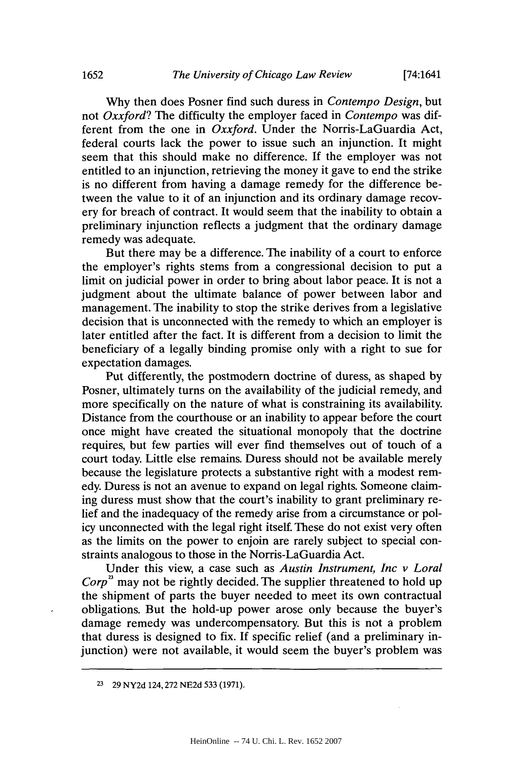**Why** then does Posner find such duress in *Contempo Design,* but *not Oxxford?* The difficulty the employer faced in *Contempo* was different from the one in *Oxxford.* Under the Norris-LaGuardia Act, federal courts lack the power to issue such an injunction. It might seem that this should make no difference. **If** the employer was not entitled to an injunction, retrieving the money it gave to end the strike is no different from having a damage remedy for the difference between the value to it of an injunction and its ordinary damage recovery for breach of contract. It would seem that the inability to obtain a preliminary injunction reflects a judgment that the ordinary damage remedy was adequate.

But there may be a difference. The inability of a court to enforce the employer's rights stems from a congressional decision to put a limit on judicial power in order to bring about labor peace. It is not a judgment about the ultimate balance of power between labor and management. The inability to stop the strike derives from a legislative decision that is unconnected with the remedy to which an employer is later entitled after the fact. It is different from a decision to limit the beneficiary of a legally binding promise only with a right to sue for expectation damages.

Put differently, the postmodern doctrine of duress, as shaped **by** Posner, ultimately turns on the availability of the judicial remedy, and more specifically on the nature of what is constraining its availability. Distance from the courthouse or an inability to appear before the court once might have created the situational monopoly that the doctrine requires, but few parties will ever find themselves out of touch of a court today. Little else remains. Duress should not be available merely because the legislature protects a substantive right with a modest remedy. Duress is not an avenue to expand on legal rights. Someone claiming duress must show that the court's inability to grant preliminary relief and the inadequacy of the remedy arise from a circumstance or policy unconnected with the legal right itself. These do not exist very often as the limits on the power to enjoin are rarely subject to special constraints analogous to those in the Norris-LaGuardia Act.

Under this view, a case such as *Austin Instrument, Inc v Loral Corp*<sup>2</sup> may not be rightly decided. The supplier threatened to hold up the shipment of parts the buyer needed to meet its own contractual obligations. But the hold-up power arose only because the buyer's damage remedy was undercompensatory. But this is not a problem that duress is designed to fix. **If** specific relief (and a preliminary injunction) were not available, it would seem the buyer's problem was

**<sup>23</sup>29 NY2d** 124,272 **NE2d 533 (1971).**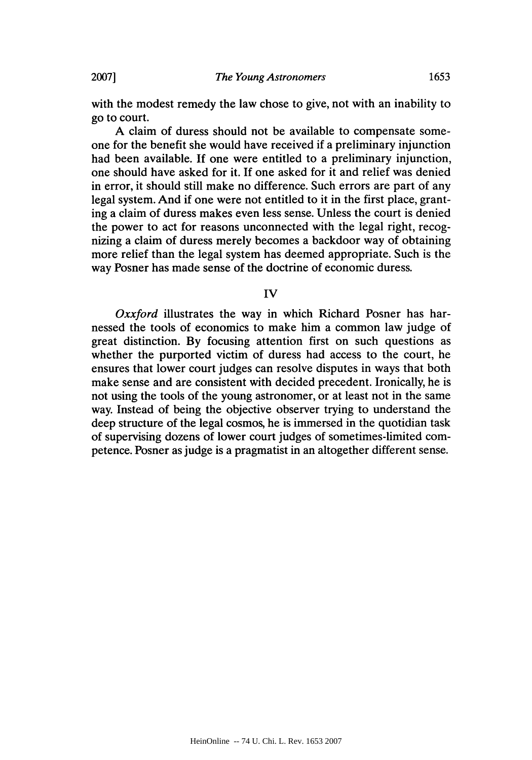with the modest remedy the law chose to give, not with an inability to **go** to court.

**A** claim of duress should not be available to compensate someone for the benefit she would have received if a preliminary injunction had been available. If one were entitled to a preliminary injunction, one should have asked for it. **If** one asked for it and relief was denied in error, it should still make no difference. Such errors are part of any legal system. And if one were not entitled to it in the first place, granting a claim of duress makes even less sense. Unless the court is denied the power to act for reasons unconnected with the legal right, recognizing a claim of duress merely becomes a backdoor way of obtaining more relief than the legal system has deemed appropriate. Such is the way Posner has made sense of the doctrine of economic duress.

#### **IV**

*Oxxford* illustrates the way in which Richard Posner has harnessed the tools of economics to make him a common law judge of great distinction. **By** focusing attention first on such questions as whether the purported victim of duress had access to the court, he ensures that lower court judges can resolve disputes in ways that both make sense and are consistent with decided precedent. Ironically, he is not using the tools of the young astronomer, or at least not in the same way. Instead of being the objective observer trying to understand the deep structure of the legal cosmos, he is immersed in the quotidian task of supervising dozens of lower court judges of sometimes-limited competence. Posner as judge is a pragmatist in an altogether different sense.